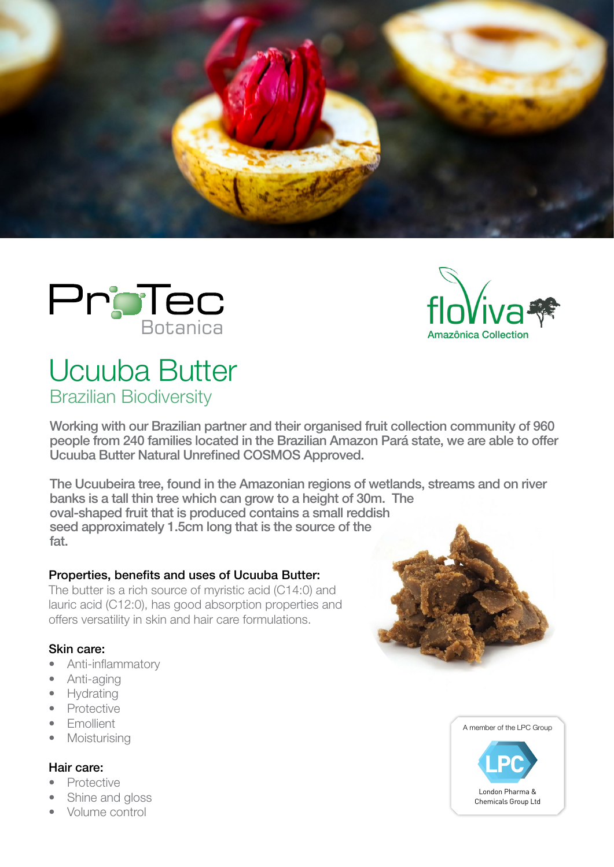





# Ucuuba Butter Brazilian Biodiversity

Working with our Brazilian partner and their organised fruit collection community of 960 people from 240 families located in the Brazilian Amazon Pará state, we are able to offer Ucuuba Butter Natural Unrefined COSMOS Approved.

The Ucuubeira tree, found in the Amazonian regions of wetlands, streams and on river banks is a tall thin tree which can grow to a height of 30m. The oval-shaped fruit that is produced contains a small reddish seed approximately 1.5cm long that is the source of the fat.

## Properties, benefits and uses of Ucuuba Butter:

The butter is a rich source of myristic acid (C14:0) and lauric acid (C12:0), has good absorption properties and offers versatility in skin and hair care formulations.

## Skin care:

- Anti-inflammatory
- Anti-aging
- **Hydrating**
- **Protective**
- **Emollient**
- Moisturising

## Hair care:

- **Protective**
- Shine and gloss
- Volume control